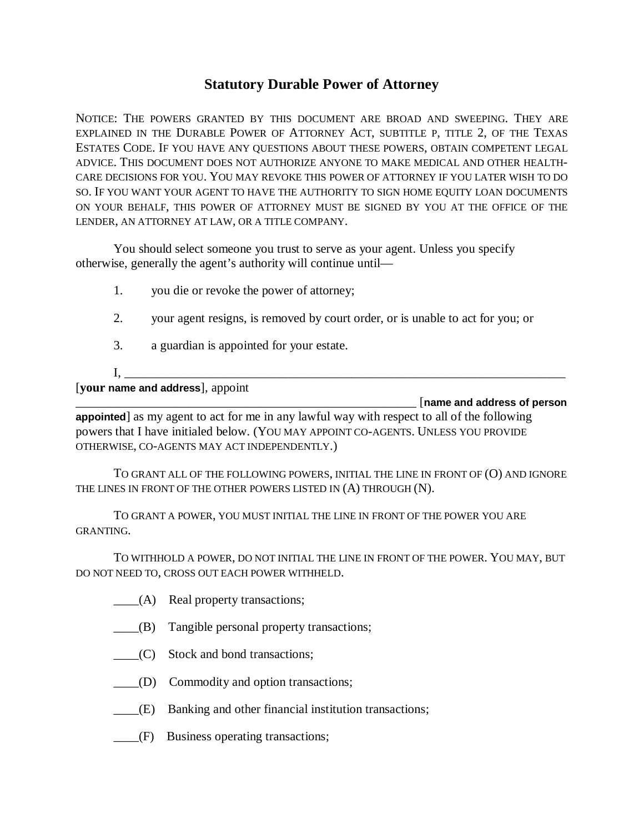## **Statutory Durable Power of Attorney**

NOTICE: THE POWERS GRANTED BY THIS DOCUMENT ARE BROAD AND SWEEPING. THEY ARE EXPLAINED IN THE DURABLE POWER OF ATTORNEY ACT, SUBTITLE P, TITLE 2, OF THE TEXAS ESTATES CODE. IF YOU HAVE ANY QUESTIONS ABOUT THESE POWERS, OBTAIN COMPETENT LEGAL ADVICE. THIS DOCUMENT DOES NOT AUTHORIZE ANYONE TO MAKE MEDICAL AND OTHER HEALTH-CARE DECISIONS FOR YOU. YOU MAY REVOKE THIS POWER OF ATTORNEY IF YOU LATER WISH TO DO SO. IF YOU WANT YOUR AGENT TO HAVE THE AUTHORITY TO SIGN HOME EQUITY LOAN DOCUMENTS ON YOUR BEHALF, THIS POWER OF ATTORNEY MUST BE SIGNED BY YOU AT THE OFFICE OF THE LENDER, AN ATTORNEY AT LAW, OR A TITLE COMPANY.

You should select someone you trust to serve as your agent. Unless you specify otherwise, generally the agent's authority will continue until—

- 1. you die or revoke the power of attorney;
- 2. your agent resigns, is removed by court order, or is unable to act for you; or
- 3. a guardian is appointed for your estate.
- I, \_\_\_\_\_\_\_\_\_\_\_\_\_\_\_\_\_\_\_\_\_\_\_\_\_\_\_\_\_\_\_\_\_\_\_\_\_\_\_\_\_\_\_\_\_\_\_\_\_\_\_\_\_\_\_\_\_\_\_\_\_\_\_\_\_\_\_\_\_\_

[**your name and address**], appoint

\_\_\_\_\_\_\_\_\_\_\_\_\_\_\_\_\_\_\_\_\_\_\_\_\_\_\_\_\_\_\_\_\_\_\_\_\_\_\_\_\_\_\_\_\_\_\_\_\_\_\_\_\_\_ [**name and address of person appointed**] as my agent to act for me in any lawful way with respect to all of the following powers that I have initialed below. (YOU MAY APPOINT CO-AGENTS. UNLESS YOU PROVIDE OTHERWISE, CO-AGENTS MAY ACT INDEPENDENTLY.)

TO GRANT ALL OF THE FOLLOWING POWERS, INITIAL THE LINE IN FRONT OF (O) AND IGNORE THE LINES IN FRONT OF THE OTHER POWERS LISTED IN (A) THROUGH (N).

TO GRANT A POWER, YOU MUST INITIAL THE LINE IN FRONT OF THE POWER YOU ARE GRANTING.

TO WITHHOLD A POWER, DO NOT INITIAL THE LINE IN FRONT OF THE POWER. YOU MAY, BUT DO NOT NEED TO, CROSS OUT EACH POWER WITHHELD.

- \_\_\_\_(A) Real property transactions;
- \_\_\_\_(B) Tangible personal property transactions;
- $\qquad \qquad \qquad \textbf{(C)} \quad \text{Stock and bond transactions;}$
- \_\_\_\_(D) Commodity and option transactions;
- \_\_\_\_(E) Banking and other financial institution transactions;
- \_\_\_\_(F) Business operating transactions;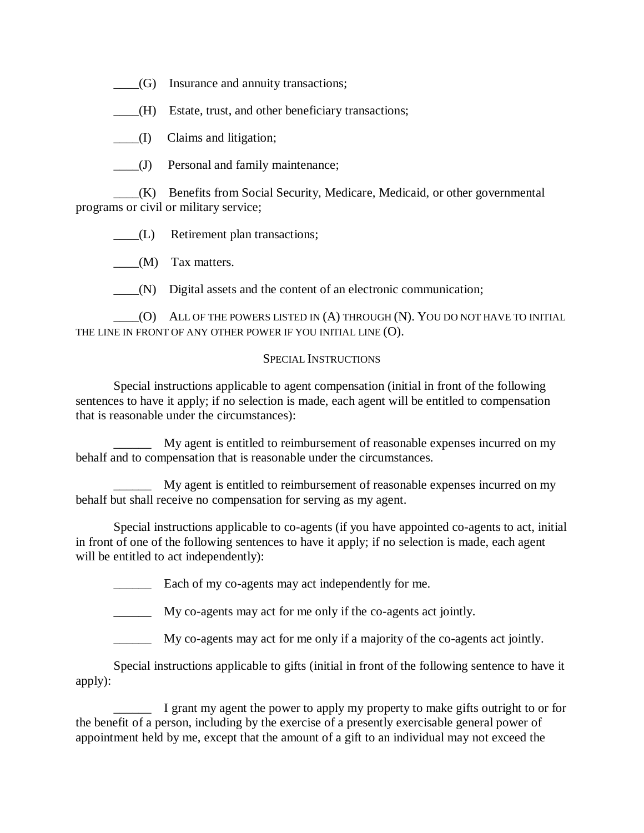\_\_\_\_(G) Insurance and annuity transactions;

\_\_\_\_(H) Estate, trust, and other beneficiary transactions;

\_\_\_\_(I) Claims and litigation;

\_\_\_\_(J) Personal and family maintenance;

\_\_\_\_(K) Benefits from Social Security, Medicare, Medicaid, or other governmental programs or civil or military service;

\_\_\_\_(L) Retirement plan transactions;

\_\_\_\_(M) Tax matters.

\_\_\_\_(N) Digital assets and the content of an electronic communication;

 $\_\_$ (O) ALL OF THE POWERS LISTED IN (A) THROUGH (N). YOU DO NOT HAVE TO INITIAL THE LINE IN FRONT OF ANY OTHER POWER IF YOU INITIAL LINE (O).

## SPECIAL INSTRUCTIONS

Special instructions applicable to agent compensation (initial in front of the following sentences to have it apply; if no selection is made, each agent will be entitled to compensation that is reasonable under the circumstances):

My agent is entitled to reimbursement of reasonable expenses incurred on my behalf and to compensation that is reasonable under the circumstances.

My agent is entitled to reimbursement of reasonable expenses incurred on my behalf but shall receive no compensation for serving as my agent.

Special instructions applicable to co-agents (if you have appointed co-agents to act, initial in front of one of the following sentences to have it apply; if no selection is made, each agent will be entitled to act independently):

Each of my co-agents may act independently for me.

\_\_\_\_\_\_ My co-agents may act for me only if the co-agents act jointly.

\_\_\_\_\_\_ My co-agents may act for me only if a majority of the co-agents act jointly.

Special instructions applicable to gifts (initial in front of the following sentence to have it apply):

\_\_\_\_\_\_ I grant my agent the power to apply my property to make gifts outright to or for the benefit of a person, including by the exercise of a presently exercisable general power of appointment held by me, except that the amount of a gift to an individual may not exceed the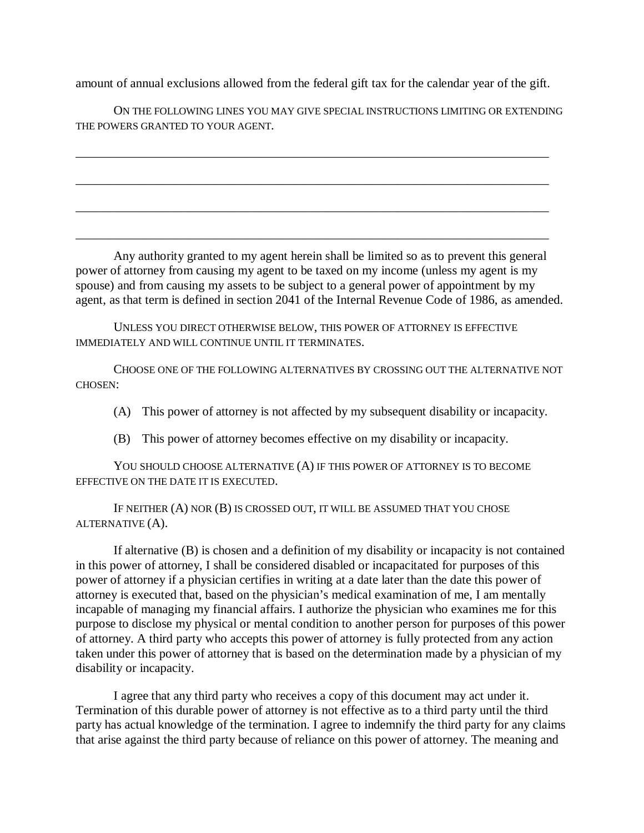amount of annual exclusions allowed from the federal gift tax for the calendar year of the gift.

\_\_\_\_\_\_\_\_\_\_\_\_\_\_\_\_\_\_\_\_\_\_\_\_\_\_\_\_\_\_\_\_\_\_\_\_\_\_\_\_\_\_\_\_\_\_\_\_\_\_\_\_\_\_\_\_\_\_\_\_\_\_\_\_\_\_\_\_\_\_\_\_\_\_\_

\_\_\_\_\_\_\_\_\_\_\_\_\_\_\_\_\_\_\_\_\_\_\_\_\_\_\_\_\_\_\_\_\_\_\_\_\_\_\_\_\_\_\_\_\_\_\_\_\_\_\_\_\_\_\_\_\_\_\_\_\_\_\_\_\_\_\_\_\_\_\_\_\_\_\_

\_\_\_\_\_\_\_\_\_\_\_\_\_\_\_\_\_\_\_\_\_\_\_\_\_\_\_\_\_\_\_\_\_\_\_\_\_\_\_\_\_\_\_\_\_\_\_\_\_\_\_\_\_\_\_\_\_\_\_\_\_\_\_\_\_\_\_\_\_\_\_\_\_\_\_

\_\_\_\_\_\_\_\_\_\_\_\_\_\_\_\_\_\_\_\_\_\_\_\_\_\_\_\_\_\_\_\_\_\_\_\_\_\_\_\_\_\_\_\_\_\_\_\_\_\_\_\_\_\_\_\_\_\_\_\_\_\_\_\_\_\_\_\_\_\_\_\_\_\_\_

ON THE FOLLOWING LINES YOU MAY GIVE SPECIAL INSTRUCTIONS LIMITING OR EXTENDING THE POWERS GRANTED TO YOUR AGENT.

Any authority granted to my agent herein shall be limited so as to prevent this general power of attorney from causing my agent to be taxed on my income (unless my agent is my spouse) and from causing my assets to be subject to a general power of appointment by my agent, as that term is defined in section 2041 of the Internal Revenue Code of 1986, as amended.

UNLESS YOU DIRECT OTHERWISE BELOW, THIS POWER OF ATTORNEY IS EFFECTIVE IMMEDIATELY AND WILL CONTINUE UNTIL IT TERMINATES.

CHOOSE ONE OF THE FOLLOWING ALTERNATIVES BY CROSSING OUT THE ALTERNATIVE NOT CHOSEN:

(A) This power of attorney is not affected by my subsequent disability or incapacity.

(B) This power of attorney becomes effective on my disability or incapacity.

YOU SHOULD CHOOSE ALTERNATIVE (A) IF THIS POWER OF ATTORNEY IS TO BECOME EFFECTIVE ON THE DATE IT IS EXECUTED.

IF NEITHER (A) NOR (B) IS CROSSED OUT, IT WILL BE ASSUMED THAT YOU CHOSE ALTERNATIVE (A).

If alternative (B) is chosen and a definition of my disability or incapacity is not contained in this power of attorney, I shall be considered disabled or incapacitated for purposes of this power of attorney if a physician certifies in writing at a date later than the date this power of attorney is executed that, based on the physician's medical examination of me, I am mentally incapable of managing my financial affairs. I authorize the physician who examines me for this purpose to disclose my physical or mental condition to another person for purposes of this power of attorney. A third party who accepts this power of attorney is fully protected from any action taken under this power of attorney that is based on the determination made by a physician of my disability or incapacity.

I agree that any third party who receives a copy of this document may act under it. Termination of this durable power of attorney is not effective as to a third party until the third party has actual knowledge of the termination. I agree to indemnify the third party for any claims that arise against the third party because of reliance on this power of attorney. The meaning and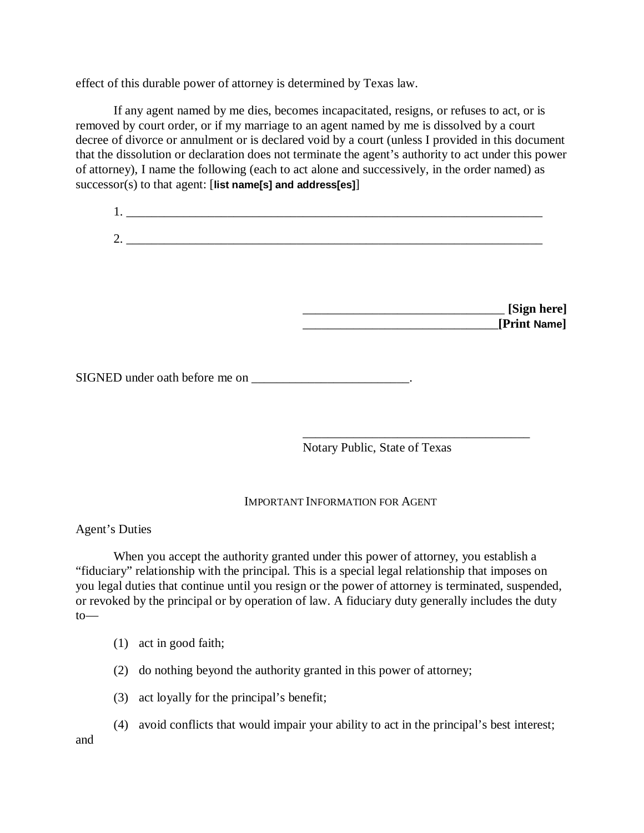effect of this durable power of attorney is determined by Texas law.

If any agent named by me dies, becomes incapacitated, resigns, or refuses to act, or is removed by court order, or if my marriage to an agent named by me is dissolved by a court decree of divorce or annulment or is declared void by a court (unless I provided in this document that the dissolution or declaration does not terminate the agent's authority to act under this power of attorney), I name the following (each to act alone and successively, in the order named) as successor(s) to that agent: [**list name[s] and address[es]**]

| າ<br><u>L.</u> |  |  |  |
|----------------|--|--|--|
|                |  |  |  |
|                |  |  |  |
|                |  |  |  |

\_\_\_\_\_\_\_\_\_\_\_\_\_\_\_\_\_\_\_\_\_\_\_\_\_\_\_\_\_\_\_\_ **[Sign here]** \_\_\_\_\_\_\_\_\_\_\_\_\_\_\_\_\_\_\_\_\_\_\_\_\_\_\_\_\_\_\_**[Print Name]**

SIGNED under oath before me on

\_\_\_\_\_\_\_\_\_\_\_\_\_\_\_\_\_\_\_\_\_\_\_\_\_\_\_\_\_\_\_\_\_\_\_\_ Notary Public, State of Texas

## IMPORTANT INFORMATION FOR AGENT

Agent's Duties

When you accept the authority granted under this power of attorney, you establish a "fiduciary" relationship with the principal. This is a special legal relationship that imposes on you legal duties that continue until you resign or the power of attorney is terminated, suspended, or revoked by the principal or by operation of law. A fiduciary duty generally includes the duty to—

- (1) act in good faith;
- (2) do nothing beyond the authority granted in this power of attorney;
- (3) act loyally for the principal's benefit;
- (4) avoid conflicts that would impair your ability to act in the principal's best interest;

and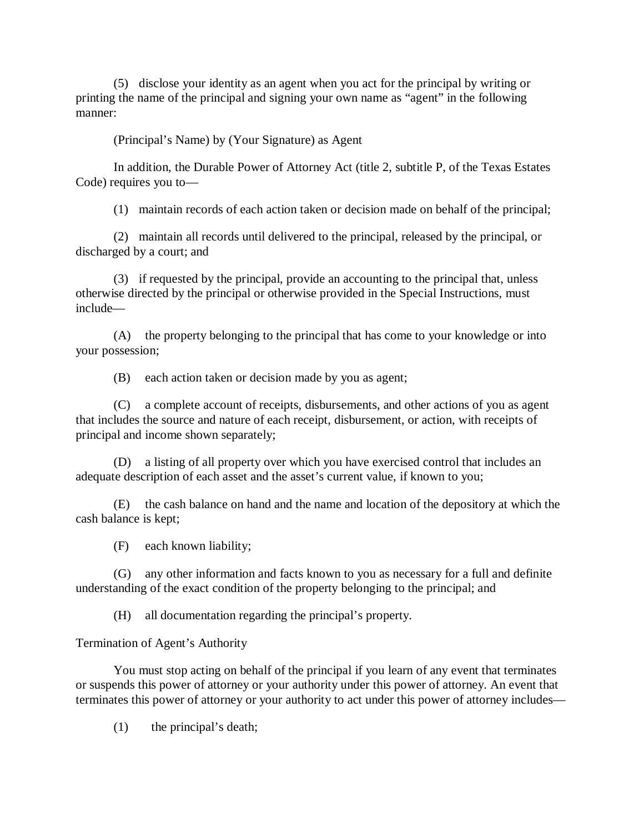(5) disclose your identity as an agent when you act for the principal by writing or printing the name of the principal and signing your own name as "agent" in the following manner:

(Principal's Name) by (Your Signature) as Agent

In addition, the Durable Power of Attorney Act (title 2, subtitle P, of the Texas Estates Code) requires you to—

(1) maintain records of each action taken or decision made on behalf of the principal;

(2) maintain all records until delivered to the principal, released by the principal, or discharged by a court; and

(3) if requested by the principal, provide an accounting to the principal that, unless otherwise directed by the principal or otherwise provided in the Special Instructions, must include—

(A) the property belonging to the principal that has come to your knowledge or into your possession;

(B) each action taken or decision made by you as agent;

(C) a complete account of receipts, disbursements, and other actions of you as agent that includes the source and nature of each receipt, disbursement, or action, with receipts of principal and income shown separately;

(D) a listing of all property over which you have exercised control that includes an adequate description of each asset and the asset's current value, if known to you;

(E) the cash balance on hand and the name and location of the depository at which the cash balance is kept;

(F) each known liability;

(G) any other information and facts known to you as necessary for a full and definite understanding of the exact condition of the property belonging to the principal; and

(H) all documentation regarding the principal's property.

Termination of Agent's Authority

You must stop acting on behalf of the principal if you learn of any event that terminates or suspends this power of attorney or your authority under this power of attorney. An event that terminates this power of attorney or your authority to act under this power of attorney includes—

(1) the principal's death;